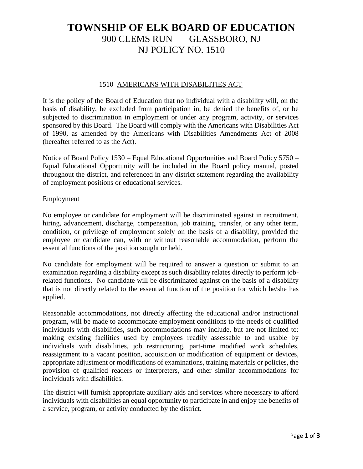# **TOWNSHIP OF ELK BOARD OF EDUCATION** 900 CLEMS RUN GLASSBORO, NJ NJ POLICY NO. 1510

### 1510 AMERICANS WITH DISABILITIES ACT

It is the policy of the Board of Education that no individual with a disability will, on the basis of disability, be excluded from participation in, be denied the benefits of, or be subjected to discrimination in employment or under any program, activity, or services sponsored by this Board. The Board will comply with the Americans with Disabilities Act of 1990, as amended by the Americans with Disabilities Amendments Act of 2008 (hereafter referred to as the Act).

Notice of Board Policy 1530 – Equal Educational Opportunities and Board Policy 5750 – Equal Educational Opportunity will be included in the Board policy manual, posted throughout the district, and referenced in any district statement regarding the availability of employment positions or educational services.

### Employment

No employee or candidate for employment will be discriminated against in recruitment, hiring, advancement, discharge, compensation, job training, transfer, or any other term, condition, or privilege of employment solely on the basis of a disability, provided the employee or candidate can, with or without reasonable accommodation, perform the essential functions of the position sought or held.

No candidate for employment will be required to answer a question or submit to an examination regarding a disability except as such disability relates directly to perform jobrelated functions. No candidate will be discriminated against on the basis of a disability that is not directly related to the essential function of the position for which he/she has applied.

Reasonable accommodations, not directly affecting the educational and/or instructional program, will be made to accommodate employment conditions to the needs of qualified individuals with disabilities, such accommodations may include, but are not limited to: making existing facilities used by employees readily assessable to and usable by individuals with disabilities, job restructuring, part-time modified work schedules, reassignment to a vacant position, acquisition or modification of equipment or devices, appropriate adjustment or modifications of examinations, training materials or policies, the provision of qualified readers or interpreters, and other similar accommodations for individuals with disabilities.

The district will furnish appropriate auxiliary aids and services where necessary to afford individuals with disabilities an equal opportunity to participate in and enjoy the benefits of a service, program, or activity conducted by the district.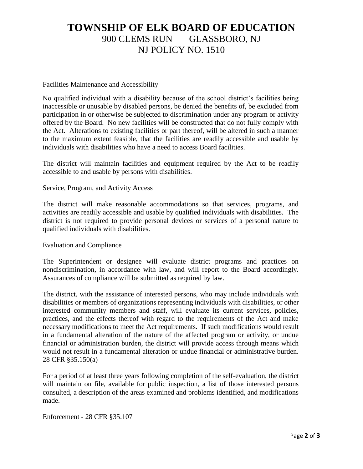## **TOWNSHIP OF ELK BOARD OF EDUCATION** 900 CLEMS RUN GLASSBORO, NJ NJ POLICY NO. 1510

### Facilities Maintenance and Accessibility

No qualified individual with a disability because of the school district's facilities being inaccessible or unusable by disabled persons, be denied the benefits of, be excluded from participation in or otherwise be subjected to discrimination under any program or activity offered by the Board. No new facilities will be constructed that do not fully comply with the Act. Alterations to existing facilities or part thereof, will be altered in such a manner to the maximum extent feasible, that the facilities are readily accessible and usable by individuals with disabilities who have a need to access Board facilities.

The district will maintain facilities and equipment required by the Act to be readily accessible to and usable by persons with disabilities.

### Service, Program, and Activity Access

The district will make reasonable accommodations so that services, programs, and activities are readily accessible and usable by qualified individuals with disabilities. The district is not required to provide personal devices or services of a personal nature to qualified individuals with disabilities.

#### Evaluation and Compliance

The Superintendent or designee will evaluate district programs and practices on nondiscrimination, in accordance with law, and will report to the Board accordingly. Assurances of compliance will be submitted as required by law.

The district, with the assistance of interested persons, who may include individuals with disabilities or members of organizations representing individuals with disabilities, or other interested community members and staff, will evaluate its current services, policies, practices, and the effects thereof with regard to the requirements of the Act and make necessary modifications to meet the Act requirements. If such modifications would result in a fundamental alteration of the nature of the affected program or activity, or undue financial or administration burden, the district will provide access through means which would not result in a fundamental alteration or undue financial or administrative burden. 28 CFR §35.150(a)

For a period of at least three years following completion of the self-evaluation, the district will maintain on file, available for public inspection, a list of those interested persons consulted, a description of the areas examined and problems identified, and modifications made.

Enforcement - 28 CFR §35.107